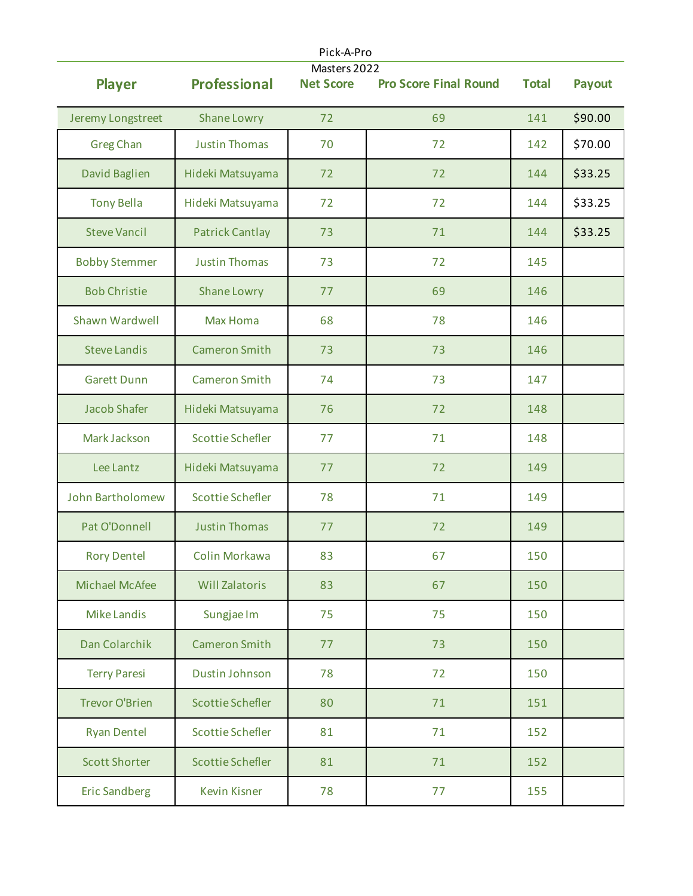| Pick-A-Pro<br>Masters 2022 |                         |                  |                              |              |               |  |
|----------------------------|-------------------------|------------------|------------------------------|--------------|---------------|--|
| <b>Player</b>              | <b>Professional</b>     | <b>Net Score</b> | <b>Pro Score Final Round</b> | <b>Total</b> | <b>Payout</b> |  |
| Jeremy Longstreet          | Shane Lowry             | 72               | 69                           | 141          | \$90.00       |  |
| <b>Greg Chan</b>           | <b>Justin Thomas</b>    | 70               | 72                           | 142          | \$70.00       |  |
| David Baglien              | Hideki Matsuyama        | 72               | 72                           | 144          | \$33.25       |  |
| <b>Tony Bella</b>          | Hideki Matsuyama        | 72               | 72                           | 144          | \$33.25       |  |
| <b>Steve Vancil</b>        | <b>Patrick Cantlay</b>  | 73               | 71                           | 144          | \$33.25       |  |
| <b>Bobby Stemmer</b>       | <b>Justin Thomas</b>    | 73               | 72                           | 145          |               |  |
| <b>Bob Christie</b>        | Shane Lowry             | 77               | 69                           | 146          |               |  |
| Shawn Wardwell             | <b>Max Homa</b>         | 68               | 78                           | 146          |               |  |
| <b>Steve Landis</b>        | <b>Cameron Smith</b>    | 73               | 73                           | 146          |               |  |
| <b>Garett Dunn</b>         | <b>Cameron Smith</b>    | 74               | 73                           | 147          |               |  |
| <b>Jacob Shafer</b>        | Hideki Matsuyama        | 76               | 72                           | 148          |               |  |
| Mark Jackson               | <b>Scottie Schefler</b> | 77               | 71                           | 148          |               |  |
| Lee Lantz                  | Hideki Matsuyama        | 77               | 72                           | 149          |               |  |
| <b>John Bartholomew</b>    | <b>Scottie Schefler</b> | 78               | 71                           | 149          |               |  |
| Pat O'Donnell              | <b>Justin Thomas</b>    | 77               | 72                           | 149          |               |  |
| <b>Rory Dentel</b>         | Colin Morkawa           | 83               | 67                           | 150          |               |  |
| Michael McAfee             | <b>Will Zalatoris</b>   | 83               | 67                           | 150          |               |  |
| <b>Mike Landis</b>         | Sungjae Im              | 75               | 75                           | 150          |               |  |
| Dan Colarchik              | <b>Cameron Smith</b>    | 77               | 73                           | 150          |               |  |
| <b>Terry Paresi</b>        | Dustin Johnson          | 78               | 72                           | 150          |               |  |
| <b>Trevor O'Brien</b>      | <b>Scottie Schefler</b> | 80               | 71                           | 151          |               |  |
| <b>Ryan Dentel</b>         | <b>Scottie Schefler</b> | 81               | 71                           | 152          |               |  |
| <b>Scott Shorter</b>       | <b>Scottie Schefler</b> | 81               | 71                           | 152          |               |  |
| <b>Eric Sandberg</b>       | <b>Kevin Kisner</b>     | 78               | 77                           | 155          |               |  |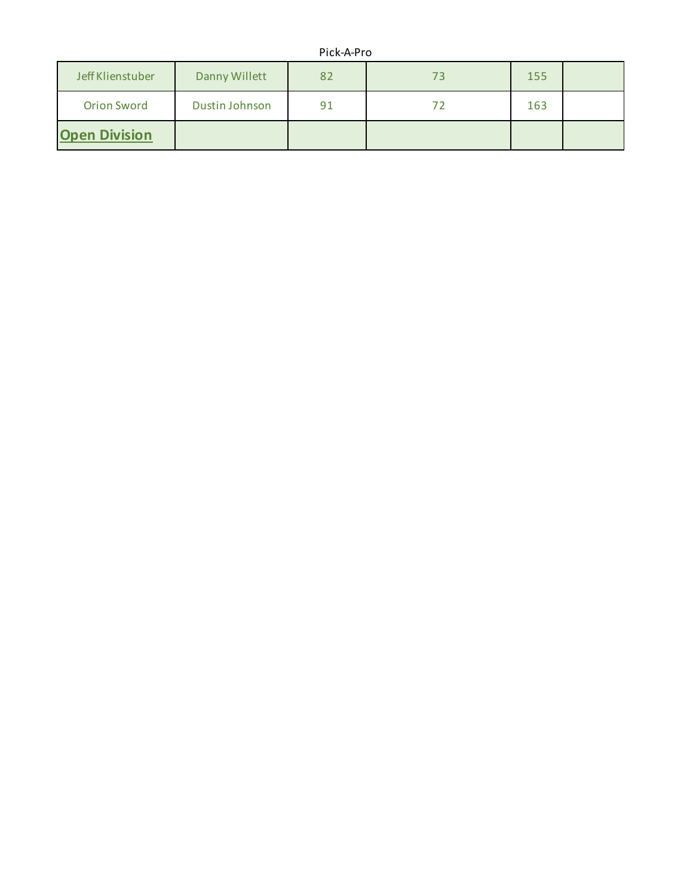## Pick-A-Pro

| Jeff Klienstuber     | Danny Willett  | 82 | 73 | 155 |  |
|----------------------|----------------|----|----|-----|--|
| <b>Orion Sword</b>   | Dustin Johnson | 91 |    | 163 |  |
| <b>Open Division</b> |                |    |    |     |  |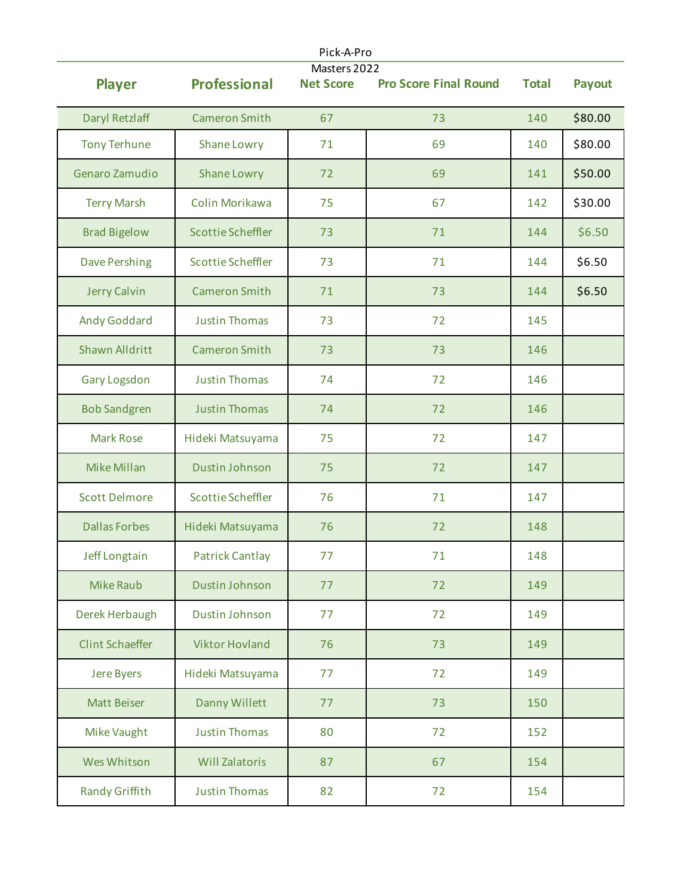| Pick-A-Pro<br>Masters 2022 |                          |                  |                              |              |               |  |
|----------------------------|--------------------------|------------------|------------------------------|--------------|---------------|--|
| <b>Player</b>              | <b>Professional</b>      | <b>Net Score</b> | <b>Pro Score Final Round</b> | <b>Total</b> | <b>Payout</b> |  |
| Daryl Retzlaff             | <b>Cameron Smith</b>     | 67               | 73                           | 140          | \$80.00       |  |
| <b>Tony Terhune</b>        | Shane Lowry              | 71               | 69                           | 140          | \$80.00       |  |
| Genaro Zamudio             | Shane Lowry              | 72               | 69                           | 141          | \$50.00       |  |
| <b>Terry Marsh</b>         | Colin Morikawa           | 75               | 67                           | 142          | \$30.00       |  |
| <b>Brad Bigelow</b>        | <b>Scottie Scheffler</b> | 73               | 71                           | 144          | \$6.50        |  |
| <b>Dave Pershing</b>       | <b>Scottie Scheffler</b> | 73               | 71                           | 144          | \$6.50        |  |
| Jerry Calvin               | <b>Cameron Smith</b>     | 71               | 73                           | 144          | \$6.50        |  |
| <b>Andy Goddard</b>        | <b>Justin Thomas</b>     | 73               | 72                           | 145          |               |  |
| <b>Shawn Alldritt</b>      | <b>Cameron Smith</b>     | 73               | 73                           | 146          |               |  |
| <b>Gary Logsdon</b>        | <b>Justin Thomas</b>     | 74               | 72                           | 146          |               |  |
| <b>Bob Sandgren</b>        | <b>Justin Thomas</b>     | 74               | 72                           | 146          |               |  |
| <b>Mark Rose</b>           | Hideki Matsuyama         | 75               | 72                           | 147          |               |  |
| <b>Mike Millan</b>         | Dustin Johnson           | 75               | 72                           | 147          |               |  |
| <b>Scott Delmore</b>       | <b>Scottie Scheffler</b> | 76               | 71                           | 147          |               |  |
| <b>Dallas Forbes</b>       | Hideki Matsuyama         | 76               | 72                           | 148          |               |  |
| Jeff Longtain              | <b>Patrick Cantlay</b>   | 77               | 71                           | 148          |               |  |
| <b>Mike Raub</b>           | Dustin Johnson           | 77               | 72                           | 149          |               |  |
| Derek Herbaugh             | Dustin Johnson           | 77               | 72                           | 149          |               |  |
| <b>Clint Schaeffer</b>     | <b>Viktor Hovland</b>    | 76               | 73                           | 149          |               |  |
| <b>Jere Byers</b>          | Hideki Matsuyama         | 77               | 72                           | 149          |               |  |
| <b>Matt Beiser</b>         | Danny Willett            | 77               | 73                           | 150          |               |  |
| <b>Mike Vaught</b>         | <b>Justin Thomas</b>     | 80               | 72                           | 152          |               |  |
| Wes Whitson                | <b>Will Zalatoris</b>    | 87               | 67                           | 154          |               |  |
| Randy Griffith             | <b>Justin Thomas</b>     | 82               | 72                           | 154          |               |  |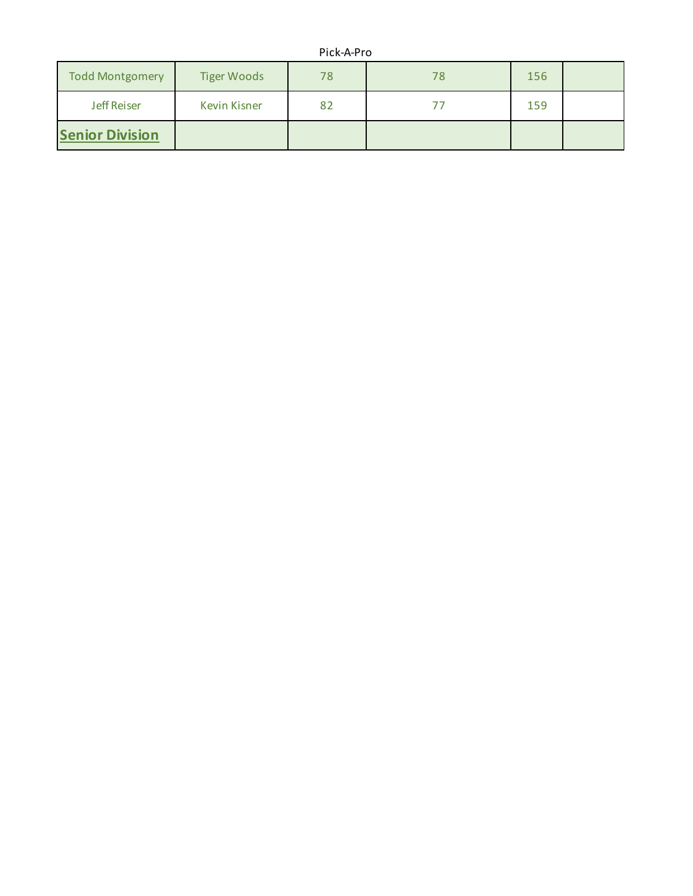## Pick-A-Pro

| <b>Todd Montgomery</b> | <b>Tiger Woods</b>  | 78 | 78 | 156 |  |
|------------------------|---------------------|----|----|-----|--|
| <b>Jeff Reiser</b>     | <b>Kevin Kisner</b> | 82 |    | 159 |  |
| <b>Senior Division</b> |                     |    |    |     |  |